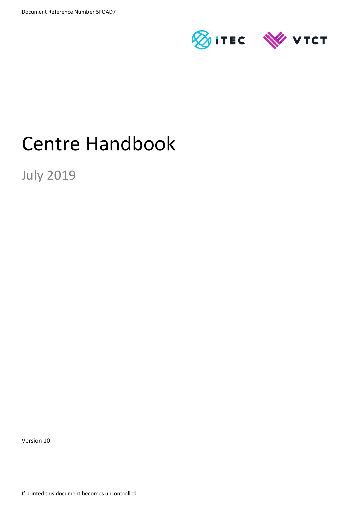

# Centre Handbook

July 2019

Version 10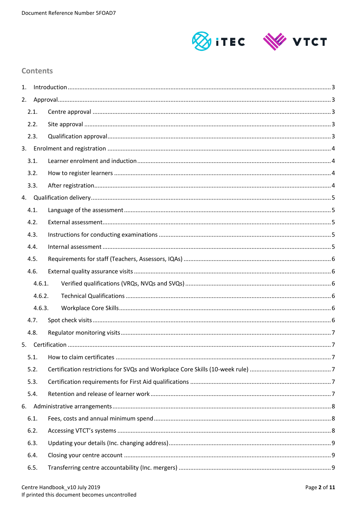

# **Contents**

| 1. |        |  |
|----|--------|--|
| 2. |        |  |
|    | 2.1.   |  |
|    | 2.2.   |  |
|    | 2.3.   |  |
|    |        |  |
|    | 3.1.   |  |
|    | 3.2.   |  |
|    | 3.3.   |  |
|    |        |  |
|    | 4.1.   |  |
|    | 4.2.   |  |
|    | 4.3.   |  |
|    | 4.4.   |  |
|    | 4.5.   |  |
|    | 4.6.   |  |
|    | 4.6.1. |  |
|    | 4.6.2. |  |
|    | 4.6.3. |  |
|    | 4.7.   |  |
|    | 4.8.   |  |
| 5. |        |  |
|    | 5.1.   |  |
|    | 5.2.   |  |
|    | 5.3.   |  |
|    | 5.4.   |  |
| 6. |        |  |
|    | 6.1.   |  |
|    | 6.2.   |  |
|    | 6.3.   |  |
|    | 6.4.   |  |
|    | 6.5.   |  |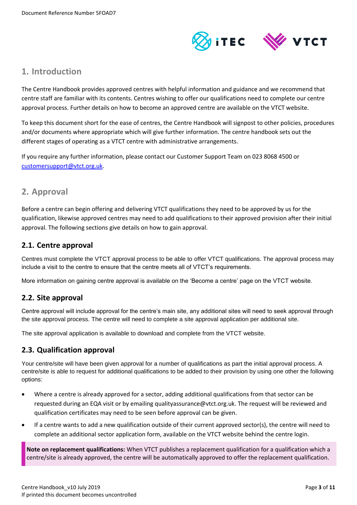

# <span id="page-2-0"></span>**1. Introduction**

The Centre Handbook provides approved centres with helpful information and guidance and we recommend that centre staff are familiar with its contents. Centres wishing to offer our qualifications need to complete our centre approval process. Further details on how to become an approved centre are available on the VTCT website.

To keep this document short for the ease of centres, the Centre Handbook will signpost to other policies, procedures and/or documents where appropriate which will give further information. The centre handbook sets out the different stages of operating as a VTCT centre with administrative arrangements.

If you require any further information, please contact our Customer Support Team on 023 8068 4500 or [customersupport@vtct.org.uk.](mailto:customersupport@vtct.org.uk)

# <span id="page-2-1"></span>**2. Approval**

Before a centre can begin offering and delivering VTCT qualifications they need to be approved by us for the qualification, likewise approved centres may need to add qualifications to their approved provision after their initial approval. The following sections give details on how to gain approval.

# <span id="page-2-2"></span>**2.1. Centre approval**

Centres must complete the VTCT approval process to be able to offer VTCT qualifications. The approval process may include a visit to the centre to ensure that the centre meets all of VTCT's requirements.

More information on gaining centre approval is available on the 'Become a centre' page on the VTCT website.

# <span id="page-2-3"></span>**2.2. Site approval**

Centre approval will include approval for the centre's main site, any additional sites will need to seek approval through the site approval process. The centre will need to complete a site approval application per additional site.

The site approval application is available to download and complete from the VTCT website.

# <span id="page-2-4"></span>**2.3. Qualification approval**

Your centre/site will have been given approval for a number of qualifications as part the initial approval process. A centre/site is able to request for additional qualifications to be added to their provision by using one other the following options:

- Where a centre is already approved for a sector, adding additional qualifications from that sector can be requested during an EQA visit or by emailing qualityassurance@vtct.org.uk. The request will be reviewed and qualification certificates may need to be seen before approval can be given.
- If a centre wants to add a new qualification outside of their current approved sector(s), the centre will need to complete an additional sector application form, available on the VTCT website behind the centre login.

**Note on replacement qualifications:** When VTCT publishes a replacement qualification for a qualification which a centre/site is already approved, the centre will be automatically approved to offer the replacement qualification.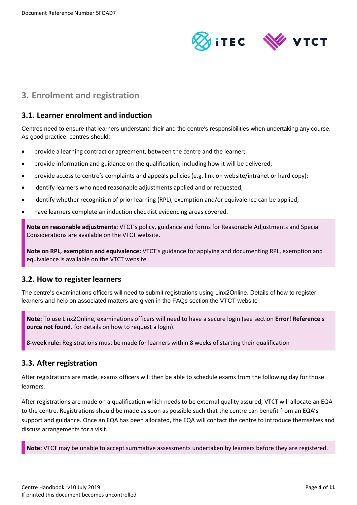

# <span id="page-3-0"></span>**3. Enrolment and registration**

# <span id="page-3-1"></span>**3.1. Learner enrolment and induction**

Centres need to ensure that learners understand their and the centre's responsibilities when undertaking any course. As good practice, centres should:

- provide a learning contract or agreement, between the centre and the learner;
- provide information and guidance on the qualification, including how it will be delivered;
- provide access to centre's complaints and appeals policies (e.g. link on website/intranet or hard copy);
- identify learners who need reasonable adjustments applied and or requested;
- identify whether recognition of prior learning (RPL), exemption and/or equivalence can be applied;
- have learners complete an induction checklist evidencing areas covered.

**Note on reasonable adjustments:** VTCT's policy, guidance and forms for Reasonable Adjustments and Special Considerations are available on the VTCT website.

**Note on RPL, exemption and equivalence:** VTCT's guidance for applying and documenting RPL, exemption and equivalence is available on the VTCT website.

# <span id="page-3-2"></span>**3.2. How to register learners**

The centre's examinations officers will need to submit registrations using Linx2Online. Details of how to register learners and help on associated matters are given in the FAQs section the VTCT website

**Note:** To use Linx2Online, examinations officers will need to have a secure login (see section **Error! Reference s ource not found.** for details on how to request a login).

**8-week rule:** Registrations must be made for learners within 8 weeks of starting their qualification

## <span id="page-3-3"></span>**3.3. After registration**

After registrations are made, exams officers will then be able to schedule exams from the following day for those learners.

After registrations are made on a qualification which needs to be external quality assured, VTCT will allocate an EQA to the centre. Registrations should be made as soon as possible such that the centre can benefit from an EQA's support and guidance. Once an EQA has been allocated, the EQA will contact the centre to introduce themselves and discuss arrangements for a visit.

**Note:** VTCT may be unable to accept summative assessments undertaken by learners before they are registered.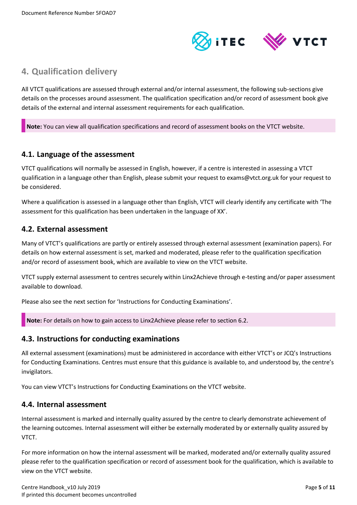

# <span id="page-4-0"></span>**4. Qualification delivery**

All VTCT qualifications are assessed through external and/or internal assessment, the following sub-sections give details on the processes around assessment. The qualification specification and/or record of assessment book give details of the external and internal assessment requirements for each qualification.

**Note:** You can view all qualification specifications and record of assessment books on the VTCT website.

## <span id="page-4-1"></span>**4.1. Language of the assessment**

VTCT qualifications will normally be assessed in English, however, if a centre is interested in assessing a VTCT qualification in a language other than English, please submit your request to exams@vtct.org.uk for your request to be considered.

Where a qualification is assessed in a language other than English, VTCT will clearly identify any certificate with 'The assessment for this qualification has been undertaken in the language of XX'.

## <span id="page-4-2"></span>**4.2. External assessment**

Many of VTCT's qualifications are partly or entirely assessed through external assessment (examination papers). For details on how external assessment is set, marked and moderated, please refer to the qualification specification and/or record of assessment book, which are available to view on the VTCT website.

VTCT supply external assessment to centres securely within Linx2Achieve through e-testing and/or paper assessment available to download.

Please also see the next section for 'Instructions for Conducting Examinations'.

**Note:** For details on how to gain access to Linx2Achieve please refer to section 6.2.

## <span id="page-4-3"></span>**4.3. Instructions for conducting examinations**

All external assessment (examinations) must be administered in accordance with either VTCT's or JCQ's Instructions for Conducting Examinations. Centres must ensure that this guidance is available to, and understood by, the centre's invigilators.

You can view VTCT's Instructions for Conducting Examinations on the VTCT website.

## <span id="page-4-4"></span>**4.4. Internal assessment**

Internal assessment is marked and internally quality assured by the centre to clearly demonstrate achievement of the learning outcomes. Internal assessment will either be externally moderated by or externally quality assured by VTCT.

For more information on how the internal assessment will be marked, moderated and/or externally quality assured please refer to the qualification specification or record of assessment book for the qualification, which is available to view on the VTCT website.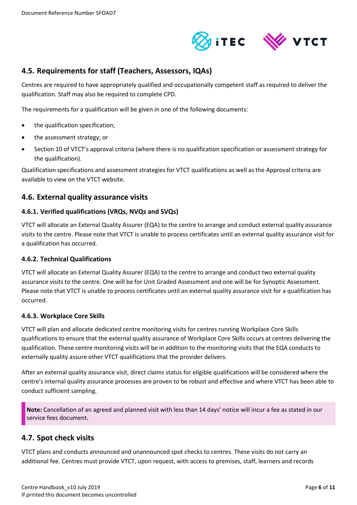

# <span id="page-5-0"></span>**4.5. Requirements for staff (Teachers, Assessors, IQAs)**

Centres are required to have appropriately qualified and occupationally competent staff as required to deliver the qualification. Staff may also be required to complete CPD.

The requirements for a qualification will be given in one of the following documents:

- the qualification specification;
- the assessment strategy; or
- Section 10 of VTCT's approval criteria (where there is no qualification specification or assessment strategy for the qualification).

Qualification specifications and assessment strategies for VTCT qualifications as well as the Approval criteria are available to view on the VTCT website.

# <span id="page-5-1"></span>**4.6. External quality assurance visits**

#### <span id="page-5-2"></span>**4.6.1. Verified qualifications (VRQs, NVQs and SVQs)**

VTCT will allocate an External Quality Assurer (EQA) to the centre to arrange and conduct external quality assurance visits to the centre. Please note that VTCT is unable to process certificates until an external quality assurance visit for a qualification has occurred.

#### <span id="page-5-3"></span>**4.6.2. Technical Qualifications**

VTCT will allocate an External Quality Assurer (EQA) to the centre to arrange and conduct two external quality assurance visits to the centre. One will be for Unit Graded Assessment and one will be for Synoptic Assessment. Please note that VTCT is unable to process certificates until an external quality assurance visit for a qualification has occurred.

#### <span id="page-5-4"></span>**4.6.3. Workplace Core Skills**

VTCT will plan and allocate dedicated centre monitoring visits for centres running Workplace Core Skills qualifications to ensure that the external quality assurance of Workplace Core Skills occurs at centres delivering the qualification. These centre monitoring visits will be in addition to the monitoring visits that the EQA conducts to externally quality assure other VTCT qualifications that the provider delivers.

After an external quality assurance visit, direct claims status for eligible qualifications will be considered where the centre's internal quality assurance processes are proven to be robust and effective and where VTCT has been able to conduct sufficient sampling.

**Note:** Cancellation of an agreed and planned visit with less than 14 days' notice will incur a fee as stated in our service fees document.

## <span id="page-5-5"></span>**4.7. Spot check visits**

VTCT plans and conducts announced and unannounced spot checks to centres. These visits do not carry an additional fee. Centres must provide VTCT, upon request, with access to premises, staff, learners and records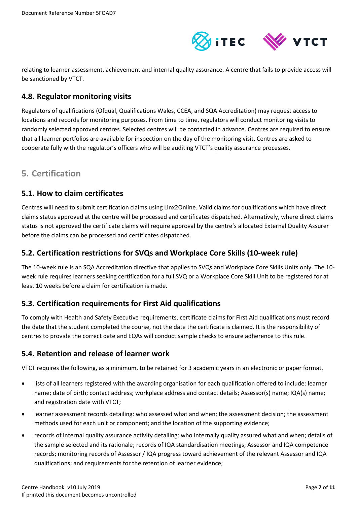

relating to learner assessment, achievement and internal quality assurance. A centre that fails to provide access will be sanctioned by VTCT.

# <span id="page-6-0"></span>**4.8. Regulator monitoring visits**

Regulators of qualifications (Ofqual, Qualifications Wales, CCEA, and SQA Accreditation) may request access to locations and records for monitoring purposes. From time to time, regulators will conduct monitoring visits to randomly selected approved centres. Selected centres will be contacted in advance. Centres are required to ensure that all learner portfolios are available for inspection on the day of the monitoring visit. Centres are asked to cooperate fully with the regulator's officers who will be auditing VTCT's quality assurance processes.

# <span id="page-6-1"></span>**5. Certification**

# <span id="page-6-2"></span>**5.1. How to claim certificates**

Centres will need to submit certification claims using Linx2Online. Valid claims for qualifications which have direct claims status approved at the centre will be processed and certificates dispatched. Alternatively, where direct claims status is not approved the certificate claims will require approval by the centre's allocated External Quality Assurer before the claims can be processed and certificates dispatched.

# <span id="page-6-3"></span>**5.2. Certification restrictions for SVQs and Workplace Core Skills (10-week rule)**

The 10-week rule is an SQA Accreditation directive that applies to SVQs and Workplace Core Skills Units only. The 10 week rule requires learners seeking certification for a full SVQ or a Workplace Core Skill Unit to be registered for at least 10 weeks before a claim for certification is made.

# <span id="page-6-4"></span>**5.3. Certification requirements for First Aid qualifications**

To comply with Health and Safety Executive requirements, certificate claims for First Aid qualifications must record the date that the student completed the course, not the date the certificate is claimed. It is the responsibility of centres to provide the correct date and EQAs will conduct sample checks to ensure adherence to this rule.

# <span id="page-6-5"></span>**5.4. Retention and release of learner work**

VTCT requires the following, as a minimum, to be retained for 3 academic years in an electronic or paper format.

- lists of all learners registered with the awarding organisation for each qualification offered to include: learner name; date of birth; contact address; workplace address and contact details; Assessor(s) name; IQA(s) name; and registration date with VTCT;
- learner assessment records detailing: who assessed what and when; the assessment decision; the assessment methods used for each unit or component; and the location of the supporting evidence;
- records of internal quality assurance activity detailing: who internally quality assured what and when; details of the sample selected and its rationale; records of IQA standardisation meetings; Assessor and IQA competence records; monitoring records of Assessor / IQA progress toward achievement of the relevant Assessor and IQA qualifications; and requirements for the retention of learner evidence;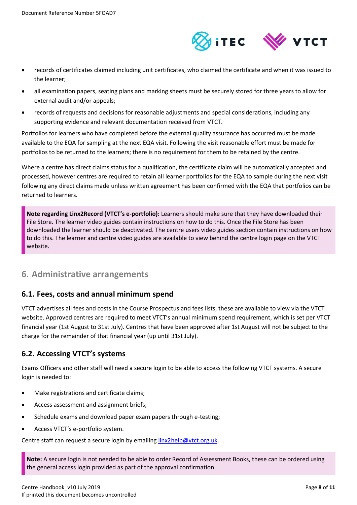

- records of certificates claimed including unit certificates, who claimed the certificate and when it was issued to the learner;
- all examination papers, seating plans and marking sheets must be securely stored for three years to allow for external audit and/or appeals;
- records of requests and decisions for reasonable adjustments and special considerations, including any supporting evidence and relevant documentation received from VTCT.

Portfolios for learners who have completed before the external quality assurance has occurred must be made available to the EQA for sampling at the next EQA visit. Following the visit reasonable effort must be made for portfolios to be returned to the learners; there is no requirement for them to be retained by the centre.

Where a centre has direct claims status for a qualification, the certificate claim will be automatically accepted and processed, however centres are required to retain all learner portfolios for the EQA to sample during the next visit following any direct claims made unless written agreement has been confirmed with the EQA that portfolios can be returned to learners.

**Note regarding Linx2Record (VTCT's e-portfolio):** Learners should make sure that they have downloaded their File Store. The learner video guides contain instructions on how to do this. Once the File Store has been downloaded the learner should be deactivated. The centre users video guides section contain instructions on how to do this. The learner and centre video guides are available to view behind the centre login page on the VTCT website.

# <span id="page-7-0"></span>**6. Administrative arrangements**

# <span id="page-7-1"></span>**6.1. Fees, costs and annual minimum spend**

VTCT advertises all fees and costs in the Course Prospectus and fees lists, these are available to view via the VTCT website. Approved centres are required to meet VTCT's annual minimum spend requirement, which is set per VTCT financial year (1st August to 31st July). Centres that have been approved after 1st August will not be subject to the charge for the remainder of that financial year (up until 31st July).

# <span id="page-7-2"></span>**6.2. Accessing VTCT's systems**

Exams Officers and other staff will need a secure login to be able to access the following VTCT systems. A secure login is needed to:

- Make registrations and certificate claims;
- Access assessment and assignment briefs;
- Schedule exams and download paper exam papers through e-testing;
- Access VTCT's e-portfolio system.

Centre staff can request a secure login by emailing [linx2help@vtct.org.uk.](mailto:linx2help@vtct.org.uk)

**Note:** A secure login is not needed to be able to order Record of Assessment Books, these can be ordered using the general access login provided as part of the approval confirmation.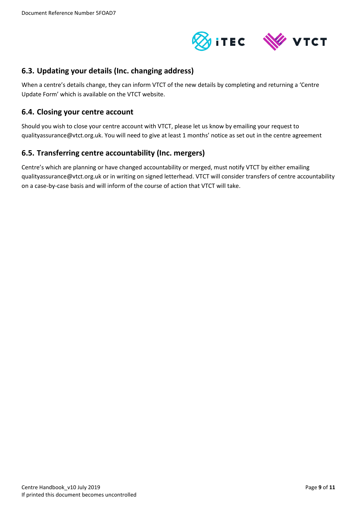

# <span id="page-8-0"></span>**6.3. Updating your details (Inc. changing address)**

When a centre's details change, they can inform VTCT of the new details by completing and returning a 'Centre Update Form' which is available on the VTCT website.

## <span id="page-8-1"></span>**6.4. Closing your centre account**

Should you wish to close your centre account with VTCT, please let us know by emailing your request to qualityassurance@vtct.org.uk. You will need to give at least 1 months' notice as set out in the centre agreement

# <span id="page-8-2"></span>**6.5. Transferring centre accountability (Inc. mergers)**

Centre's which are planning or have changed accountability or merged, must notify VTCT by either emailing qualityassurance@vtct.org.uk or in writing on signed letterhead. VTCT will consider transfers of centre accountability on a case-by-case basis and will inform of the course of action that VTCT will take.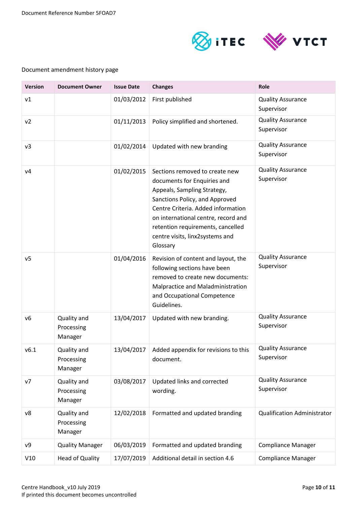



| <b>Version</b> | <b>Document Owner</b>                | <b>Issue Date</b> | <b>Changes</b>                                                                                                                                                                                                                                                                                  | Role                                   |
|----------------|--------------------------------------|-------------------|-------------------------------------------------------------------------------------------------------------------------------------------------------------------------------------------------------------------------------------------------------------------------------------------------|----------------------------------------|
| v1             |                                      | 01/03/2012        | First published                                                                                                                                                                                                                                                                                 | <b>Quality Assurance</b><br>Supervisor |
| v <sub>2</sub> |                                      | 01/11/2013        | Policy simplified and shortened.                                                                                                                                                                                                                                                                | <b>Quality Assurance</b><br>Supervisor |
| v3             |                                      | 01/02/2014        | Updated with new branding                                                                                                                                                                                                                                                                       | <b>Quality Assurance</b><br>Supervisor |
| v4             |                                      | 01/02/2015        | Sections removed to create new<br>documents for Enquiries and<br>Appeals, Sampling Strategy,<br>Sanctions Policy, and Approved<br>Centre Criteria. Added information<br>on international centre, record and<br>retention requirements, cancelled<br>centre visits, linx2systems and<br>Glossary | <b>Quality Assurance</b><br>Supervisor |
| v <sub>5</sub> |                                      | 01/04/2016        | Revision of content and layout, the<br>following sections have been<br>removed to create new documents:<br>Malpractice and Maladministration<br>and Occupational Competence<br>Guidelines.                                                                                                      | <b>Quality Assurance</b><br>Supervisor |
| v6             | Quality and<br>Processing<br>Manager | 13/04/2017        | Updated with new branding.                                                                                                                                                                                                                                                                      | <b>Quality Assurance</b><br>Supervisor |
| v6.1           | Quality and<br>Processing<br>Manager | 13/04/2017        | Added appendix for revisions to this<br>document.                                                                                                                                                                                                                                               | <b>Quality Assurance</b><br>Supervisor |
| ν7             | Quality and<br>Processing<br>Manager | 03/08/2017        | Updated links and corrected<br>wording.                                                                                                                                                                                                                                                         | <b>Quality Assurance</b><br>Supervisor |
| ν8             | Quality and<br>Processing<br>Manager | 12/02/2018        | Formatted and updated branding                                                                                                                                                                                                                                                                  | <b>Qualification Administrator</b>     |
| ν9             | <b>Quality Manager</b>               | 06/03/2019        | Formatted and updated branding                                                                                                                                                                                                                                                                  | <b>Compliance Manager</b>              |
| V10            | <b>Head of Quality</b>               | 17/07/2019        | Additional detail in section 4.6                                                                                                                                                                                                                                                                | <b>Compliance Manager</b>              |